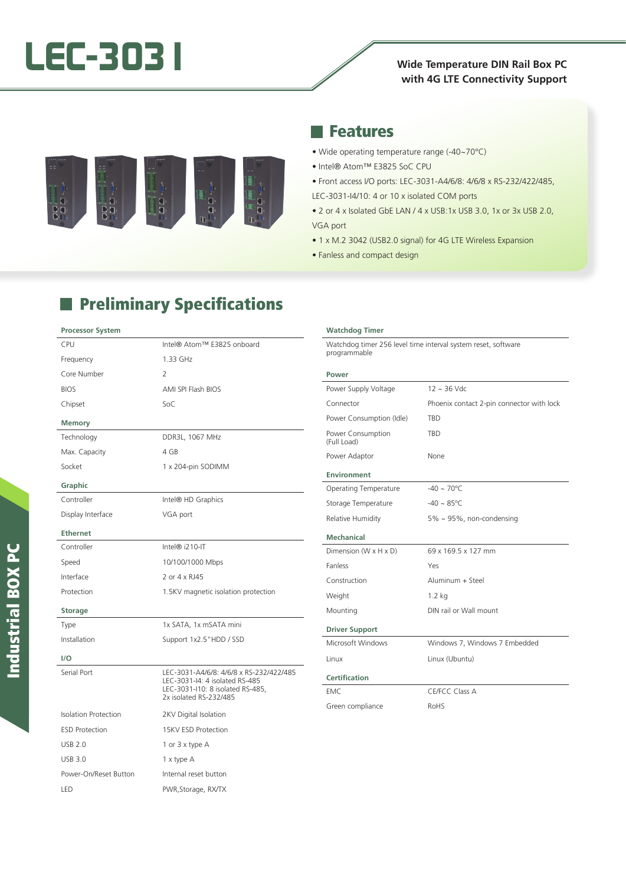# **LEC-3031 Wide Temperature DIN Rail Box PC**

# **with 4G LTE Connectivity Support**



### **Reatures**

- Wide operating temperature range (-40~70°C)
- Intel® Atom™ E3825 SoC CPU
- Front access I/O ports: LEC-3031-A4/6/8: 4/6/8 x RS-232/422/485,
- LEC-3031-I4/10: 4 or 10 x isolated COM ports
- 2 or 4 x Isolated GbE LAN / 4 x USB:1x USB 3.0, 1x or 3x USB 2.0, VGA port
- 1 x M.2 3042 (USB2.0 signal) for 4G LTE Wireless Expansion
- Fanless and compact design

# **Preliminary Specifications**

#### **Processor System**

| <b>CPU</b>                  | Intel® Atom™ E3825 onboard                                                                                                              |
|-----------------------------|-----------------------------------------------------------------------------------------------------------------------------------------|
| Frequency                   | 1.33 GHz                                                                                                                                |
| Core Number                 | $\overline{2}$                                                                                                                          |
| <b>BIOS</b>                 | <b>AMI SPI Flash BIOS</b>                                                                                                               |
| Chipset                     | SoC                                                                                                                                     |
| <b>Memory</b>               |                                                                                                                                         |
| Technology                  | DDR3L, 1067 MHz                                                                                                                         |
| Max. Capacity               | 4 GB                                                                                                                                    |
| Socket                      | 1 x 204-pin SODIMM                                                                                                                      |
| Graphic                     |                                                                                                                                         |
| Controller                  | Intel® HD Graphics                                                                                                                      |
| Display Interface           | VGA port                                                                                                                                |
| <b>Ethernet</b>             |                                                                                                                                         |
| Controller                  | Intel® i210-IT                                                                                                                          |
| Speed                       | 10/100/1000 Mbps                                                                                                                        |
| Interface                   | 2 or 4 x RJ45                                                                                                                           |
| Protection                  | 1.5KV magnetic isolation protection                                                                                                     |
| <b>Storage</b>              |                                                                                                                                         |
| Type                        | 1x SATA, 1x mSATA mini                                                                                                                  |
| Installation                | Support 1x2.5"HDD / SSD                                                                                                                 |
| $1/\Omega$                  |                                                                                                                                         |
| Serial Port                 | LEC-3031-A4/6/8: 4/6/8 x RS-232/422/485<br>LEC-3031-I4: 4 isolated RS-485<br>LEC-3031-I10: 8 isolated RS-485,<br>2x isolated RS-232/485 |
| <b>Isolation Protection</b> | 2KV Digital Isolation                                                                                                                   |
| <b>ESD Protection</b>       | 15KV ESD Protection                                                                                                                     |
| <b>USB 2.0</b>              | 1 or 3 x type A                                                                                                                         |
| <b>USB 3.0</b>              | 1 x type A                                                                                                                              |
| Power-On/Reset Button       | Internal reset button                                                                                                                   |
| LED                         | PWR, Storage, RX/TX                                                                                                                     |

| <b>Watchdog Timer</b>            |                                                               |
|----------------------------------|---------------------------------------------------------------|
| programmable                     | Watchdog timer 256 level time interval system reset, software |
| Power                            |                                                               |
| Power Supply Voltage             | $12 \sim 36$ Vdc                                              |
| Connector                        | Phoenix contact 2-pin connector with lock                     |
| Power Consumption (Idle)         | <b>TBD</b>                                                    |
| Power Consumption<br>(Full Load) | <b>TBD</b>                                                    |
| Power Adaptor                    | None                                                          |
| Environment                      |                                                               |
| <b>Operating Temperature</b>     | $-40 \sim 70^{\circ}$ C                                       |
| Storage Temperature              | $-40 \sim 85^{\circ}$ C                                       |
| Relative Humidity                | $5\% \sim 95\%$ , non-condensing                              |
| <b>Mechanical</b>                |                                                               |
| Dimension (W x H x D)            | 69 x 169.5 x 127 mm                                           |
| <b>Fanless</b>                   | Yes                                                           |
| Construction                     | Aluminum + Steel                                              |
| Weight                           | $1.2$ kg                                                      |
| Mounting                         | DIN rail or Wall mount                                        |
| <b>Driver Support</b>            |                                                               |
| Microsoft Windows                | Windows 7, Windows 7 Embedded                                 |
| Linux                            | Linux (Ubuntu)                                                |
| Certification                    |                                                               |
| EMC.                             | CE/FCC Class A                                                |
| Green compliance                 | RoHS                                                          |
|                                  |                                                               |